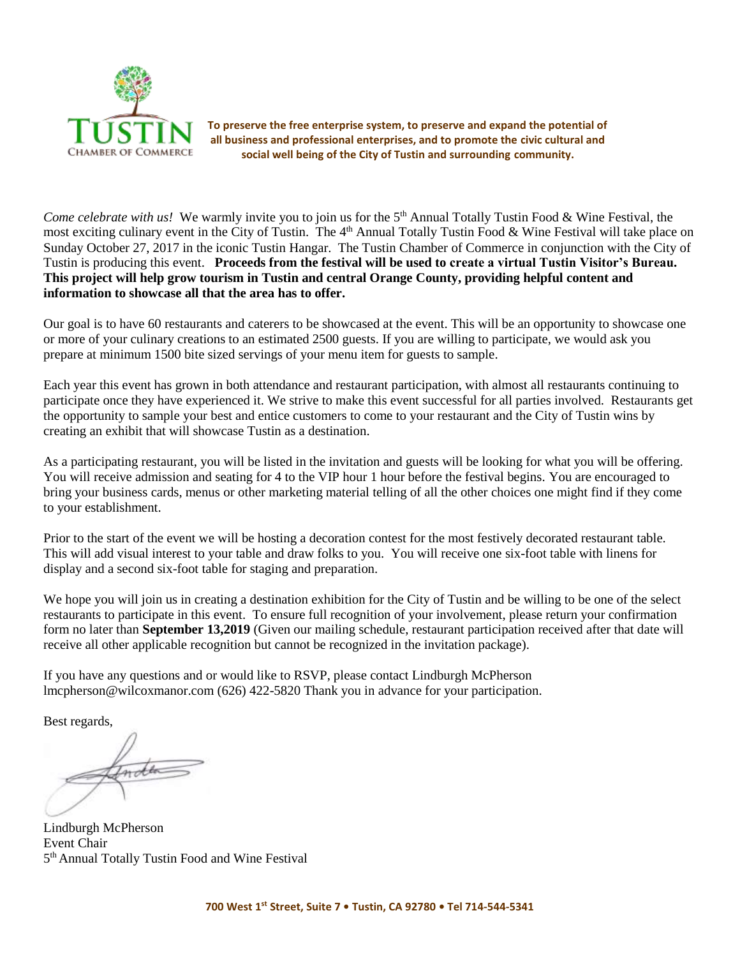

**To preserve the free enterprise system, to preserve and expand the potential of all business and professional enterprises, and to promote the civic cultural and social well being of the City of Tustin and surrounding community.**

Come celebrate with us! We warmly invite you to join us for the 5<sup>th</sup> Annual Totally Tustin Food & Wine Festival, the most exciting culinary event in the City of Tustin. The 4<sup>th</sup> Annual Totally Tustin Food & Wine Festival will take place on Sunday October 27, 2017 in the iconic Tustin Hangar. The Tustin Chamber of Commerce in conjunction with the City of Tustin is producing this event. **Proceeds from the festival will be used to create a virtual Tustin Visitor's Bureau. This project will help grow tourism in Tustin and central Orange County, providing helpful content and information to showcase all that the area has to offer.** 

Our goal is to have 60 restaurants and caterers to be showcased at the event. This will be an opportunity to showcase one or more of your culinary creations to an estimated 2500 guests. If you are willing to participate, we would ask you prepare at minimum 1500 bite sized servings of your menu item for guests to sample.

Each year this event has grown in both attendance and restaurant participation, with almost all restaurants continuing to participate once they have experienced it. We strive to make this event successful for all parties involved. Restaurants get the opportunity to sample your best and entice customers to come to your restaurant and the City of Tustin wins by creating an exhibit that will showcase Tustin as a destination.

As a participating restaurant, you will be listed in the invitation and guests will be looking for what you will be offering. You will receive admission and seating for 4 to the VIP hour 1 hour before the festival begins. You are encouraged to bring your business cards, menus or other marketing material telling of all the other choices one might find if they come to your establishment.

Prior to the start of the event we will be hosting a decoration contest for the most festively decorated restaurant table. This will add visual interest to your table and draw folks to you. You will receive one six-foot table with linens for display and a second six-foot table for staging and preparation.

We hope you will join us in creating a destination exhibition for the City of Tustin and be willing to be one of the select restaurants to participate in this event. To ensure full recognition of your involvement, please return your confirmation form no later than **September 13,2019** (Given our mailing schedule, restaurant participation received after that date will receive all other applicable recognition but cannot be recognized in the invitation package).

If you have any questions and or would like to RSVP, please contact Lindburgh McPherson lmcpherson@wilcoxmanor.com (626) 422-5820 Thank you in advance for your participation.

Best regards,

Indea

Lindburgh McPherson Event Chair 5<sup>th</sup> Annual Totally Tustin Food and Wine Festival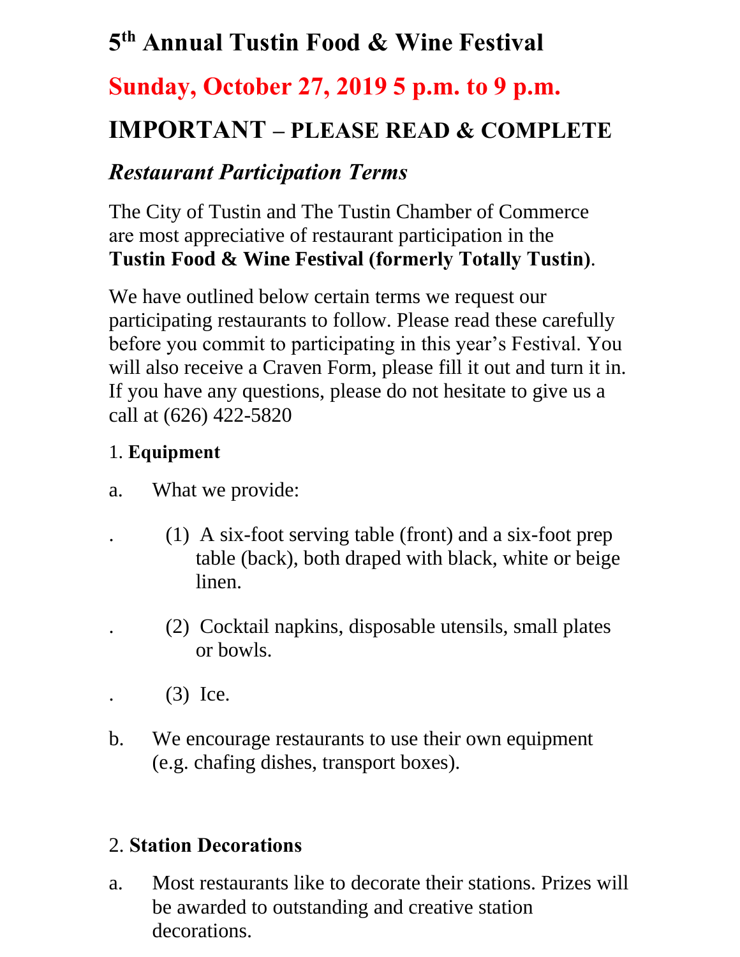# **5 th Annual Tustin Food & Wine Festival**

# **Sunday, October 27, 2019 5 p.m. to 9 p.m.**

# **IMPORTANT – PLEASE READ & COMPLETE**

## *Restaurant Participation Terms*

The City of Tustin and The Tustin Chamber of Commerce are most appreciative of restaurant participation in the **Tustin Food & Wine Festival (formerly Totally Tustin)**.

We have outlined below certain terms we request our participating restaurants to follow. Please read these carefully before you commit to participating in this year's Festival. You will also receive a Craven Form, please fill it out and turn it in. If you have any questions, please do not hesitate to give us a call at (626) 422-5820

#### 1. **Equipment**

- a. What we provide:
	- . (1) A six-foot serving table (front) and a six-foot prep table (back), both draped with black, white or beige linen.
		- . (2) Cocktail napkins, disposable utensils, small plates or bowls.
	- . (3) Ice.
- b. We encourage restaurants to use their own equipment (e.g. chafing dishes, transport boxes).

#### 2. **Station Decorations**

a. Most restaurants like to decorate their stations. Prizes will be awarded to outstanding and creative station decorations.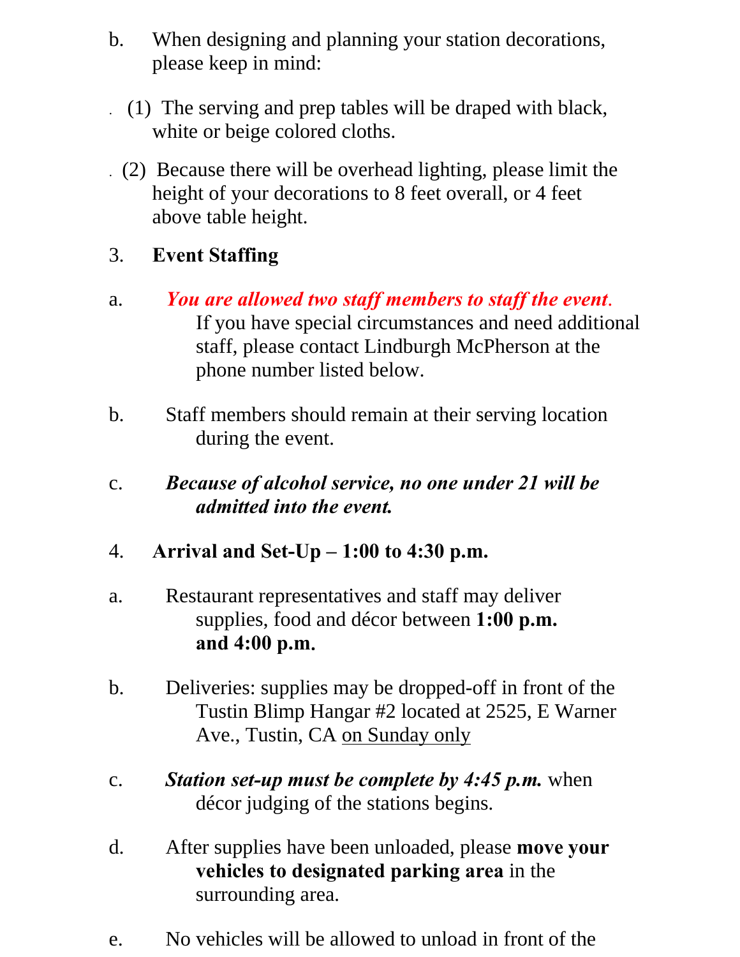- b. When designing and planning your station decorations, please keep in mind:
	- . (1) The serving and prep tables will be draped with black, white or beige colored cloths.
- . (2) Because there will be overhead lighting, please limit the height of your decorations to 8 feet overall, or 4 feet above table height.

## 3. **Event Staffing**

- a. *You are allowed two staff members to staff the event*. If you have special circumstances and need additional staff, please contact Lindburgh McPherson at the phone number listed below.
- b. Staff members should remain at their serving location during the event.
- c. *Because of alcohol service, no one under 21 will be admitted into the event.*
- 4. **Arrival and Set-Up – 1:00 to 4:30 p.m.**
- a. Restaurant representatives and staff may deliver supplies, food and décor between **1:00 p.m. and 4:00 p.m**.
- b. Deliveries: supplies may be dropped-off in front of the Tustin Blimp Hangar #2 located at 2525, E Warner Ave., Tustin, CA on Sunday only
- c. *Station set-up must be complete by 4:45 p.m.* when décor judging of the stations begins.
- d. After supplies have been unloaded, please **move your vehicles to designated parking area** in the surrounding area.
- e. No vehicles will be allowed to unload in front of the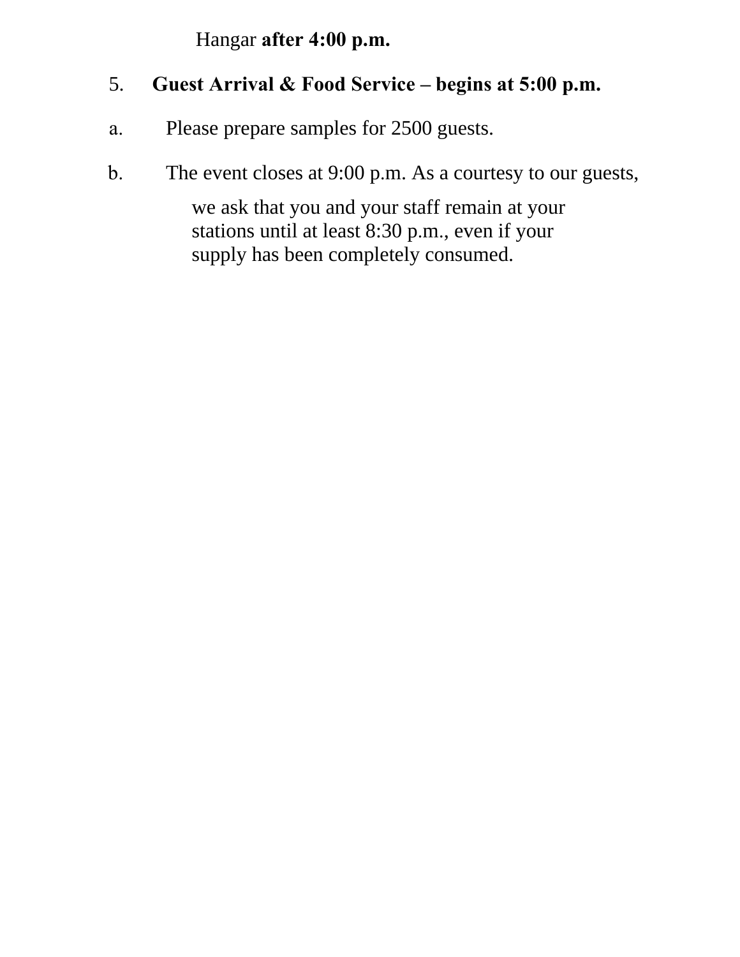Hangar **after 4:00 p.m.** 

#### 5. **Guest Arrival & Food Service – begins at 5:00 p.m.**

- a. Please prepare samples for 2500 guests.
- b. The event closes at 9:00 p.m. As a courtesy to our guests,

we ask that you and your staff remain at your stations until at least 8:30 p.m., even if your supply has been completely consumed.